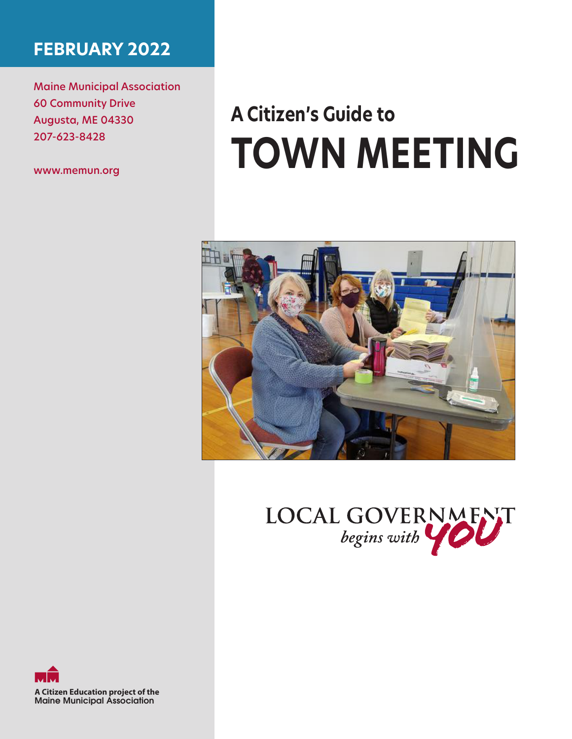## **FEBRUARY 2022**

Maine Municipal Association 60 Community Drive Augusta, ME 04330 207-623-8428

www.memun.org

# **A Citizen's Guide to TOWN MEETING**





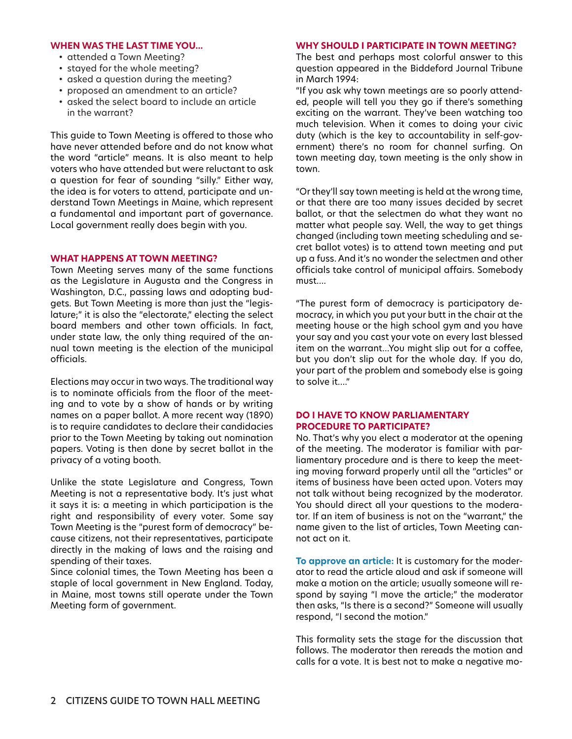#### **WHEN WAS THE LAST TIME YOU...**

- attended a Town Meeting?
- stayed for the whole meeting?
- asked a question during the meeting?
- proposed an amendment to an article?
- asked the select board to include an article in the warrant?

This guide to Town Meeting is offered to those who have never attended before and do not know what the word "article" means. It is also meant to help voters who have attended but were reluctant to ask a question for fear of sounding "silly." Either way, the idea is for voters to attend, participate and understand Town Meetings in Maine, which represent a fundamental and important part of governance. Local government really does begin with you.

#### **WHAT HAPPENS AT TOWN MEETING?**

Town Meeting serves many of the same functions as the Legislature in Augusta and the Congress in Washington, D.C., passing laws and adopting budgets. But Town Meeting is more than just the "legislature;" it is also the "electorate," electing the select board members and other town officials. In fact, under state law, the only thing required of the annual town meeting is the election of the municipal officials.

Elections may occur in two ways. The traditional way is to nominate officials from the floor of the meeting and to vote by a show of hands or by writing names on a paper ballot. A more recent way (1890) is to require candidates to declare their candidacies prior to the Town Meeting by taking out nomination papers. Voting is then done by secret ballot in the privacy of a voting booth.

Unlike the state Legislature and Congress, Town Meeting is not a representative body. It's just what it says it is: a meeting in which participation is the right and responsibility of every voter. Some say Town Meeting is the "purest form of democracy" because citizens, not their representatives, participate directly in the making of laws and the raising and spending of their taxes.

Since colonial times, the Town Meeting has been a staple of local government in New England. Today, in Maine, most towns still operate under the Town Meeting form of government.

#### **WHY SHOULD I PARTICIPATE IN TOWN MEETING?**

The best and perhaps most colorful answer to this question appeared in the Biddeford Journal Tribune in March 1994:

"If you ask why town meetings are so poorly attended, people will tell you they go if there's something exciting on the warrant. They've been watching too much television. When it comes to doing your civic duty (which is the key to accountability in self-government) there's no room for channel surfing. On town meeting day, town meeting is the only show in town.

"Or they'll say town meeting is held at the wrong time, or that there are too many issues decided by secret ballot, or that the selectmen do what they want no matter what people say. Well, the way to get things changed (including town meeting scheduling and secret ballot votes) is to attend town meeting and put up a fuss. And it's no wonder the selectmen and other officials take control of municipal affairs. Somebody must….

"The purest form of democracy is participatory democracy, in which you put your butt in the chair at the meeting house or the high school gym and you have your say and you cast your vote on every last blessed item on the warrant…You might slip out for a coffee, but you don't slip out for the whole day. If you do, your part of the problem and somebody else is going to solve it…."

#### **DO I HAVE TO KNOW PARLIAMENTARY PROCEDURE TO PARTICIPATE?**

No. That's why you elect a moderator at the opening of the meeting. The moderator is familiar with parliamentary procedure and is there to keep the meeting moving forward properly until all the "articles" or items of business have been acted upon. Voters may not talk without being recognized by the moderator. You should direct all your questions to the moderator. If an item of business is not on the "warrant," the name given to the list of articles, Town Meeting cannot act on it.

**To approve an article:** It is customary for the moderator to read the article aloud and ask if someone will make a motion on the article; usually someone will respond by saying "I move the article;" the moderator then asks, "Is there is a second?" Someone will usually respond, "I second the motion."

This formality sets the stage for the discussion that follows. The moderator then rereads the motion and calls for a vote. It is best not to make a negative mo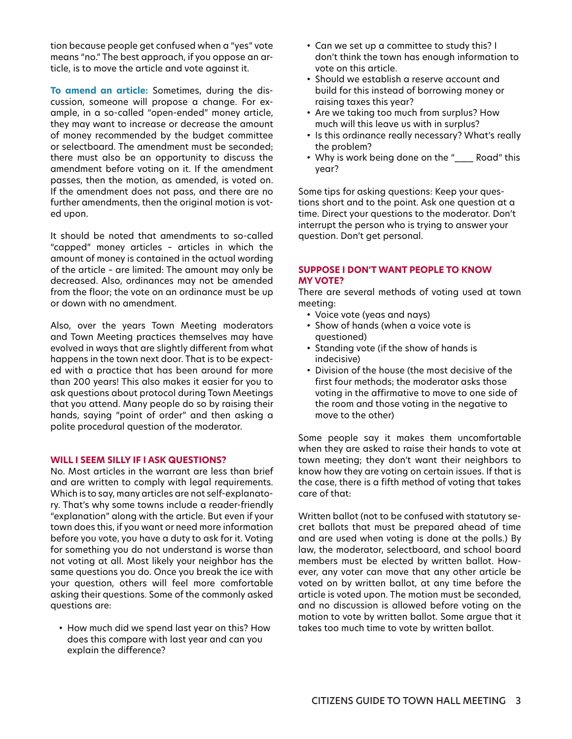tion because people get confused when a "yes" vote means "no." The best approach, if you oppose an article, is to move the article and vote against it.

**To amend an article:** Sometimes, during the discussion, someone will propose a change. For example, in a so-called "open-ended" money article, they may want to increase or decrease the amount of money recommended by the budget committee or selectboard. The amendment must be seconded; there must also be an opportunity to discuss the amendment before voting on it. If the amendment passes, then the motion, as amended, is voted on. If the amendment does not pass, and there are no further amendments, then the original motion is voted upon.

It should be noted that amendments to so-called "capped" money articles – articles in which the amount of money is contained in the actual wording of the article – are limited: The amount may only be decreased. Also, ordinances may not be amended from the floor; the vote on an ordinance must be up or down with no amendment.

Also, over the years Town Meeting moderators and Town Meeting practices themselves may have evolved in ways that are slightly different from what happens in the town next door. That is to be expected with a practice that has been around for more than 200 years! This also makes it easier for you to ask questions about protocol during Town Meetings that you attend. Many people do so by raising their hands, saying "point of order" and then asking a polite procedural question of the moderator.

#### **WILL I SEEM SILLY IF I ASK QUESTIONS?**

No. Most articles in the warrant are less than brief and are written to comply with legal requirements. Which is to say, many articles are not self-explanatory. That's why some towns include a reader-friendly "explanation" along with the article. But even if your town does this, if you want or need more information before you vote, you have a duty to ask for it. Voting for something you do not understand is worse than not voting at all. Most likely your neighbor has the same questions you do. Once you break the ice with your question, others will feel more comfortable asking their questions. Some of the commonly asked questions are:

• How much did we spend last year on this? How does this compare with last year and can you explain the difference?

- Can we set up a committee to study this? I don't think the town has enough information to vote on this article.
- Should we establish a reserve account and build for this instead of borrowing money or raising taxes this year?
- Are we taking too much from surplus? How much will this leave us with in surplus?
- Is this ordinance really necessary? What's really the problem?
- Why is work being done on the "\_\_\_\_ Road" this year?

Some tips for asking questions: Keep your questions short and to the point. Ask one question at a time. Direct your questions to the moderator. Don't interrupt the person who is trying to answer your question. Don't get personal.

#### **SUPPOSE I DON'T WANT PEOPLE TO KNOW MY VOTE?**

There are several methods of voting used at town meeting:

- Voice vote (yeas and nays)
- Show of hands (when a voice vote is questioned)
- Standing vote (if the show of hands is indecisive)
- Division of the house (the most decisive of the first four methods; the moderator asks those voting in the affirmative to move to one side of the room and those voting in the negative to move to the other)

Some people say it makes them uncomfortable when they are asked to raise their hands to vote at town meeting; they don't want their neighbors to know how they are voting on certain issues. If that is the case, there is a fifth method of voting that takes care of that:

Written ballot (not to be confused with statutory secret ballots that must be prepared ahead of time and are used when voting is done at the polls.) By law, the moderator, selectboard, and school board members must be elected by written ballot. However, any voter can move that any other article be voted on by written ballot, at any time before the article is voted upon. The motion must be seconded, and no discussion is allowed before voting on the motion to vote by written ballot. Some argue that it takes too much time to vote by written ballot.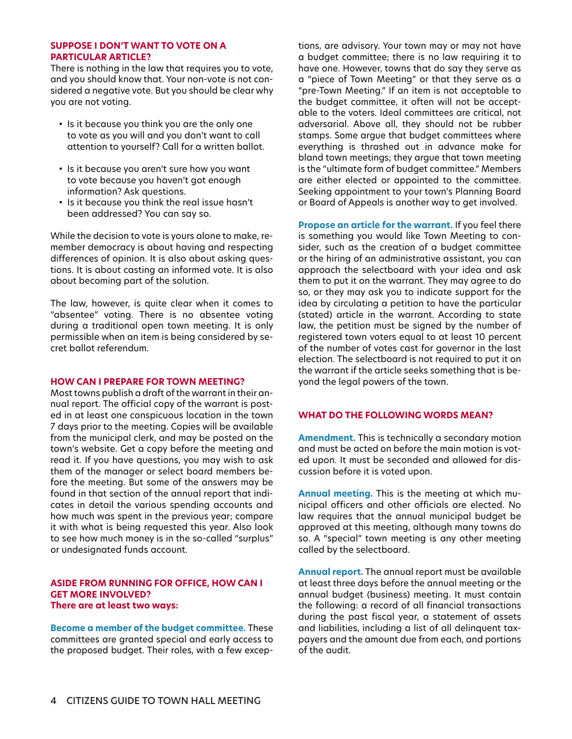#### **SUPPOSE I DON'T WANT TO VOTE ON A PARTICULAR ARTICLE?**

There is nothing in the law that requires you to vote, and you should know that. Your non-vote is not considered a negative vote. But you should be clear why you are not voting.

- Is it because you think you are the only one to vote as you will and you don't want to call attention to yourself? Call for a written ballot.
- Is it because you aren't sure how you want to vote because you haven't got enough information? Ask questions.
- Is it because you think the real issue hasn't been addressed? You can say so.

While the decision to vote is yours alone to make, remember democracy is about having and respecting differences of opinion. It is also about asking questions. It is about casting an informed vote. It is also about becoming part of the solution.

The law, however, is quite clear when it comes to "absentee" voting. There is no absentee voting during a traditional open town meeting. It is only permissible when an item is being considered by secret ballot referendum.

#### **HOW CAN I PREPARE FOR TOWN MEETING?**

Most towns publish a draft of the warrant in their annual report. The official copy of the warrant is posted in at least one conspicuous location in the town 7 days prior to the meeting. Copies will be available from the municipal clerk, and may be posted on the town's website. Get a copy before the meeting and read it. If you have questions, you may wish to ask them of the manager or select board members before the meeting. But some of the answers may be found in that section of the annual report that indicates in detail the various spending accounts and how much was spent in the previous year; compare it with what is being requested this year. Also look to see how much money is in the so-called "surplus" or undesignated funds account.

#### **ASIDE FROM RUNNING FOR OFFICE, HOW CAN I GET MORE INVOLVED? There are at least two ways:**

**Become a member of the budget committee.** These committees are granted special and early access to the proposed budget. Their roles, with a few excep-

tions, are advisory. Your town may or may not have a budget committee; there is no law requiring it to have one. However, towns that do say they serve as a "piece of Town Meeting" or that they serve as a "pre-Town Meeting." If an item is not acceptable to the budget committee, it often will not be acceptable to the voters. Ideal committees are critical, not adversarial. Above all, they should not be rubber stamps. Some argue that budget committees where everything is thrashed out in advance make for bland town meetings; they argue that town meeting is the "ultimate form of budget committee." Members are either elected or appointed to the committee. Seeking appointment to your town's Planning Board or Board of Appeals is another way to get involved.

**Propose an article for the warrant.** If you feel there is something you would like Town Meeting to consider, such as the creation of a budget committee or the hiring of an administrative assistant, you can approach the selectboard with your idea and ask them to put it on the warrant. They may agree to do so, or they may ask you to indicate support for the idea by circulating a petition to have the particular (stated) article in the warrant. According to state law, the petition must be signed by the number of registered town voters equal to at least 10 percent of the number of votes cast for governor in the last election. The selectboard is not required to put it on the warrant if the article seeks something that is beyond the legal powers of the town.

#### **WHAT DO THE FOLLOWING WORDS MEAN?**

**Amendment.** This is technically a secondary motion and must be acted on before the main motion is voted upon. It must be seconded and allowed for discussion before it is voted upon.

**Annual meeting.** This is the meeting at which municipal officers and other officials are elected. No law requires that the annual municipal budget be approved at this meeting, although many towns do so. A "special" town meeting is any other meeting called by the selectboard.

**Annual report.** The annual report must be available at least three days before the annual meeting or the annual budget (business) meeting. It must contain the following: a record of all financial transactions during the past fiscal year, a statement of assets and liabilities, including a list of all delinquent taxpayers and the amount due from each, and portions of the audit.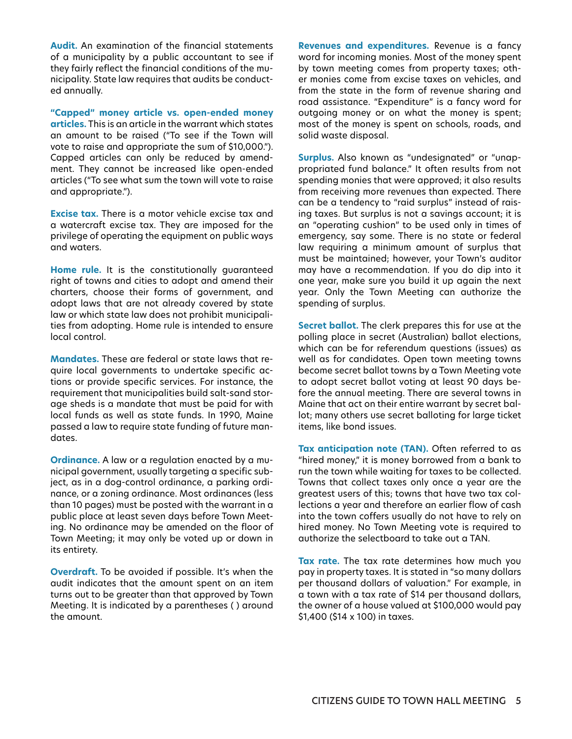**Audit.** An examination of the financial statements of a municipality by a public accountant to see if they fairly reflect the financial conditions of the municipality. State law requires that audits be conducted annually.

**"Capped" money article vs. open-ended money articles.** This is an article in the warrant which states an amount to be raised ("To see if the Town will vote to raise and appropriate the sum of \$10,000."). Capped articles can only be reduced by amendment. They cannot be increased like open-ended articles ("To see what sum the town will vote to raise and appropriate.").

**Excise tax.** There is a motor vehicle excise tax and a watercraft excise tax. They are imposed for the privilege of operating the equipment on public ways and waters.

**Home rule.** It is the constitutionally guaranteed right of towns and cities to adopt and amend their charters, choose their forms of government, and adopt laws that are not already covered by state law or which state law does not prohibit municipalities from adopting. Home rule is intended to ensure local control.

**Mandates.** These are federal or state laws that require local governments to undertake specific actions or provide specific services. For instance, the requirement that municipalities build salt-sand storage sheds is a mandate that must be paid for with local funds as well as state funds. In 1990, Maine passed a law to require state funding of future mandates.

**Ordinance.** A law or a regulation enacted by a municipal government, usually targeting a specific subject, as in a dog-control ordinance, a parking ordinance, or a zoning ordinance. Most ordinances (less than 10 pages) must be posted with the warrant in a public place at least seven days before Town Meeting. No ordinance may be amended on the floor of Town Meeting; it may only be voted up or down in its entirety.

**Overdraft.** To be avoided if possible. It's when the audit indicates that the amount spent on an item turns out to be greater than that approved by Town Meeting. It is indicated by a parentheses ( ) around the amount.

**Revenues and expenditures.** Revenue is a fancy word for incoming monies. Most of the money spent by town meeting comes from property taxes; other monies come from excise taxes on vehicles, and from the state in the form of revenue sharing and road assistance. "Expenditure" is a fancy word for outgoing money or on what the money is spent; most of the money is spent on schools, roads, and solid waste disposal.

**Surplus.** Also known as "undesignated" or "unappropriated fund balance." It often results from not spending monies that were approved; it also results from receiving more revenues than expected. There can be a tendency to "raid surplus" instead of raising taxes. But surplus is not a savings account; it is an "operating cushion" to be used only in times of emergency, say some. There is no state or federal law requiring a minimum amount of surplus that must be maintained; however, your Town's auditor may have a recommendation. If you do dip into it one year, make sure you build it up again the next year. Only the Town Meeting can authorize the spending of surplus.

**Secret ballot.** The clerk prepares this for use at the polling place in secret (Australian) ballot elections, which can be for referendum questions (issues) as well as for candidates. Open town meeting towns become secret ballot towns by a Town Meeting vote to adopt secret ballot voting at least 90 days before the annual meeting. There are several towns in Maine that act on their entire warrant by secret ballot; many others use secret balloting for large ticket items, like bond issues.

**Tax anticipation note (TAN).** Often referred to as "hired money," it is money borrowed from a bank to run the town while waiting for taxes to be collected. Towns that collect taxes only once a year are the greatest users of this; towns that have two tax collections a year and therefore an earlier flow of cash into the town coffers usually do not have to rely on hired money. No Town Meeting vote is required to authorize the selectboard to take out a TAN.

**Tax rate.** The tax rate determines how much you pay in property taxes. It is stated in "so many dollars per thousand dollars of valuation." For example, in a town with a tax rate of \$14 per thousand dollars, the owner of a house valued at \$100,000 would pay \$1,400 (\$14 x 100) in taxes.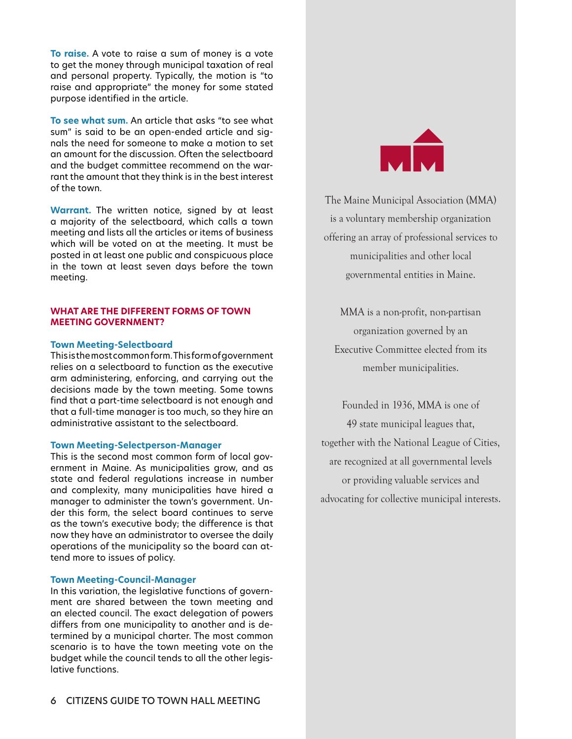**To raise.** A vote to raise a sum of money is a vote to get the money through municipal taxation of real and personal property. Typically, the motion is "to raise and appropriate" the money for some stated purpose identified in the article.

**To see what sum.** An article that asks "to see what sum" is said to be an open-ended article and signals the need for someone to make a motion to set an amount for the discussion. Often the selectboard and the budget committee recommend on the warrant the amount that they think is in the best interest of the town.

**Warrant.** The written notice, signed by at least a majority of the selectboard, which calls a town meeting and lists all the articles or items of business which will be voted on at the meeting. It must be posted in at least one public and conspicuous place in the town at least seven days before the town meeting.

#### **WHAT ARE THE DIFFERENT FORMS OF TOWN MEETING GOVERNMENT?**

#### **Town Meeting-Selectboard**

This is the most common form. This form of government relies on a selectboard to function as the executive arm administering, enforcing, and carrying out the decisions made by the town meeting. Some towns find that a part-time selectboard is not enough and that a full-time manager is too much, so they hire an administrative assistant to the selectboard.

#### **Town Meeting-Selectperson-Manager**

This is the second most common form of local government in Maine. As municipalities grow, and as state and federal regulations increase in number and complexity, many municipalities have hired a manager to administer the town's government. Under this form, the select board continues to serve as the town's executive body; the difference is that now they have an administrator to oversee the daily operations of the municipality so the board can attend more to issues of policy.

#### **Town Meeting-Council-Manager**

In this variation, the legislative functions of government are shared between the town meeting and an elected council. The exact delegation of powers differs from one municipality to another and is determined by a municipal charter. The most common scenario is to have the town meeting vote on the budget while the council tends to all the other legislative functions.



The Maine Municipal Association (MMA) is a voluntary membership organization offering an array of professional services to municipalities and other local governmental entities in Maine.

MMA is a non-profit, non-partisan organization governed by an Executive Committee elected from its member municipalities.

Founded in 1936, MMA is one of 49 state municipal leagues that, together with the National League of Cities, are recognized at all governmental levels or providing valuable services and advocating for collective municipal interests.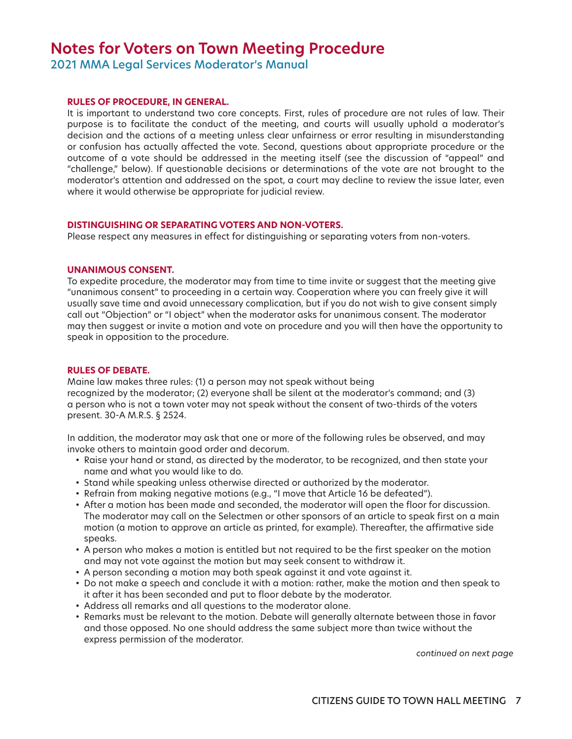### **Notes for Voters on Town Meeting Procedure**

2021 MMA Legal Services Moderator's Manual

#### **RULES OF PROCEDURE, IN GENERAL.**

It is important to understand two core concepts. First, rules of procedure are not rules of law. Their purpose is to facilitate the conduct of the meeting, and courts will usually uphold a moderator's decision and the actions of a meeting unless clear unfairness or error resulting in misunderstanding or confusion has actually affected the vote. Second, questions about appropriate procedure or the outcome of a vote should be addressed in the meeting itself (see the discussion of "appeal" and "challenge," below). If questionable decisions or determinations of the vote are not brought to the moderator's attention and addressed on the spot, a court may decline to review the issue later, even where it would otherwise be appropriate for judicial review.

#### **DISTINGUISHING OR SEPARATING VOTERS AND NON-VOTERS.**

Please respect any measures in effect for distinguishing or separating voters from non-voters.

#### **UNANIMOUS CONSENT.**

To expedite procedure, the moderator may from time to time invite or suggest that the meeting give "unanimous consent" to proceeding in a certain way. Cooperation where you can freely give it will usually save time and avoid unnecessary complication, but if you do not wish to give consent simply call out "Objection" or "I object" when the moderator asks for unanimous consent. The moderator may then suggest or invite a motion and vote on procedure and you will then have the opportunity to speak in opposition to the procedure.

#### **RULES OF DEBATE.**

Maine law makes three rules: (1) a person may not speak without being recognized by the moderator; (2) everyone shall be silent at the moderator's command; and (3) a person who is not a town voter may not speak without the consent of two-thirds of the voters present. 30-A M.R.S. § 2524.

In addition, the moderator may ask that one or more of the following rules be observed, and may invoke others to maintain good order and decorum.

- Raise your hand or stand, as directed by the moderator, to be recognized, and then state your name and what you would like to do.
- Stand while speaking unless otherwise directed or authorized by the moderator.
- Refrain from making negative motions (e.g., "I move that Article 16 be defeated").
- After a motion has been made and seconded, the moderator will open the floor for discussion. The moderator may call on the Selectmen or other sponsors of an article to speak first on a main motion (a motion to approve an article as printed, for example). Thereafter, the affirmative side speaks.
- A person who makes a motion is entitled but not required to be the first speaker on the motion and may not vote against the motion but may seek consent to withdraw it.
- A person seconding a motion may both speak against it and vote against it.
- Do not make a speech and conclude it with a motion: rather, make the motion and then speak to it after it has been seconded and put to floor debate by the moderator.
- Address all remarks and all questions to the moderator alone.
- Remarks must be relevant to the motion. Debate will generally alternate between those in favor and those opposed. No one should address the same subject more than twice without the express permission of the moderator.

*continued on next page*